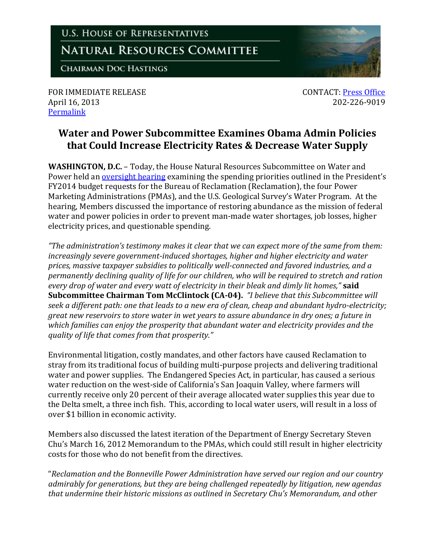## **U.S. HOUSE OF REPRESENTATIVES NATURAL RESOURCES COMMITTEE**

**CHAIRMAN DOC HASTINGS** 

FOR IMMEDIATE RELEASE **CONTACT:** [Press Office](http://naturalresources.house.gov/contact/media.htm) April 16, 2013 202-226-9019 [Permalink](http://naturalresources.house.gov/news/documentsingle.aspx?DocumentID=329300)

## **Water and Power Subcommittee Examines Obama Admin Policies that Could Increase Electricity Rates & Decrease Water Supply**

**WASHINGTON, D.C.** – Today, the House Natural Resources Subcommittee on Water and Power held an **oversight hearing examining the spending priorities outlined in the President's** FY2014 budget requests for the Bureau of Reclamation (Reclamation), the four Power Marketing Administrations (PMAs), and the U.S. Geological Survey's Water Program. At the hearing, Members discussed the importance of restoring abundance as the mission of federal water and power policies in order to prevent man-made water shortages, job losses, higher electricity prices, and questionable spending.

*"The administration's testimony makes it clear that we can expect more of the same from them: increasingly severe government-induced shortages, higher and higher electricity and water prices, massive taxpayer subsidies to politically well-connected and favored industries, and a permanently declining quality of life for our children, who will be required to stretch and ration every drop of water and every watt of electricity in their bleak and dimly lit homes,"* **said Subcommittee Chairman Tom McClintock (CA-04).** *"I believe that this Subcommittee will seek a different path: one that leads to a new era of clean, cheap and abundant hydro-electricity; great new reservoirs to store water in wet years to assure abundance in dry ones; a future in which families can enjoy the prosperity that abundant water and electricity provides and the quality of life that comes from that prosperity."*

Environmental litigation, costly mandates, and other factors have caused Reclamation to stray from its traditional focus of building multi-purpose projects and delivering traditional water and power supplies. The Endangered Species Act, in particular, has caused a serious water reduction on the west-side of California's San Joaquin Valley, where farmers will currently receive only 20 percent of their average allocated water supplies this year due to the Delta smelt, a three inch fish. This, according to local water users, will result in a loss of over \$1 billion in economic activity.

Members also discussed the latest iteration of the Department of Energy Secretary Steven Chu's March 16, 2012 Memorandum to the PMAs, which could still result in higher electricity costs for those who do not benefit from the directives.

"*Reclamation and the Bonneville Power Administration have served our region and our country admirably for generations, but they are being challenged repeatedly by litigation, new agendas that undermine their historic missions as outlined in Secretary Chu's Memorandum, and other*